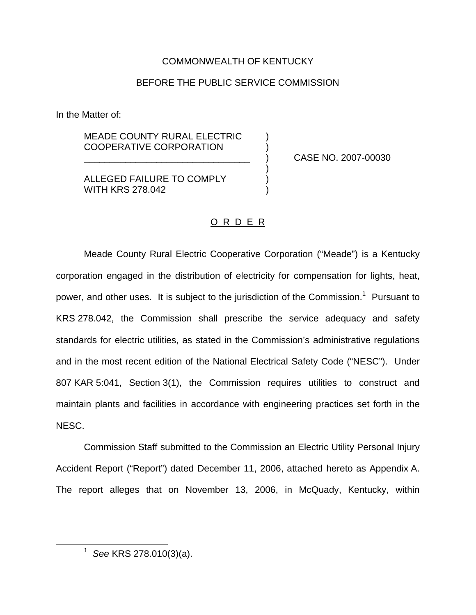## COMMONWEALTH OF KENTUCKY

## BEFORE THE PUBLIC SERVICE COMMISSION

In the Matter of:

MEADE COUNTY RURAL ELECTRIC COOPERATIVE CORPORATION )

\_\_\_\_\_\_\_\_\_\_\_\_\_\_\_\_\_\_\_\_\_\_\_\_\_\_\_\_\_\_\_\_ ) CASE NO. 2007-00030

**ALLEGED FAILURE TO COMPLY** WITH KRS 278.042

#### O R D E R

)

Meade County Rural Electric Cooperative Corporation ("Meade") is a Kentucky corporation engaged in the distribution of electricity for compensation for lights, heat, power, and other uses. It is subject to the jurisdiction of the Commission.<sup>1</sup> Pursuant to KRS 278.042, the Commission shall prescribe the service adequacy and safety standards for electric utilities, as stated in the Commission's administrative regulations and in the most recent edition of the National Electrical Safety Code ("NESC"). Under 807 KAR 5:041, Section 3(1), the Commission requires utilities to construct and maintain plants and facilities in accordance with engineering practices set forth in the NESC.

Commission Staff submitted to the Commission an Electric Utility Personal Injury Accident Report ("Report") dated December 11, 2006, attached hereto as Appendix A. The report alleges that on November 13, 2006, in McQuady, Kentucky, within

<sup>1</sup> *See* KRS 278.010(3)(a).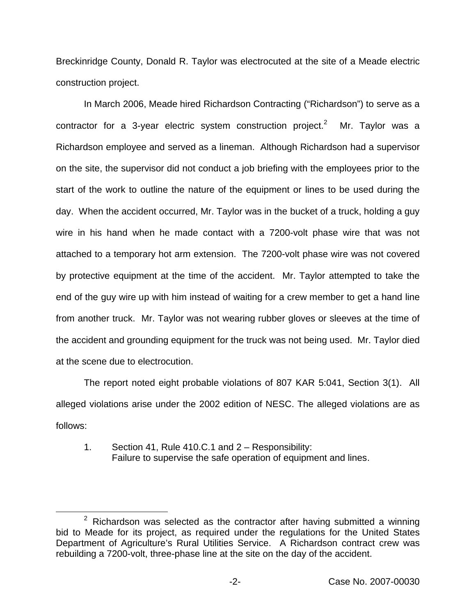Breckinridge County, Donald R. Taylor was electrocuted at the site of a Meade electric construction project.

In March 2006, Meade hired Richardson Contracting ("Richardson") to serve as a contractor for a 3-year electric system construction project.<sup>2</sup> Mr. Taylor was a Richardson employee and served as a lineman. Although Richardson had a supervisor on the site, the supervisor did not conduct a job briefing with the employees prior to the start of the work to outline the nature of the equipment or lines to be used during the day. When the accident occurred, Mr. Taylor was in the bucket of a truck, holding a guy wire in his hand when he made contact with a 7200-volt phase wire that was not attached to a temporary hot arm extension. The 7200-volt phase wire was not covered by protective equipment at the time of the accident. Mr. Taylor attempted to take the end of the guy wire up with him instead of waiting for a crew member to get a hand line from another truck. Mr. Taylor was not wearing rubber gloves or sleeves at the time of the accident and grounding equipment for the truck was not being used. Mr. Taylor died at the scene due to electrocution.

The report noted eight probable violations of 807 KAR 5:041, Section 3(1). All alleged violations arise under the 2002 edition of NESC. The alleged violations are as follows:

1. Section 41, Rule 410.C.1 and 2 – Responsibility: Failure to supervise the safe operation of equipment and lines.

 $2$  Richardson was selected as the contractor after having submitted a winning bid to Meade for its project, as required under the regulations for the United States Department of Agriculture's Rural Utilities Service. A Richardson contract crew was rebuilding a 7200-volt, three-phase line at the site on the day of the accident.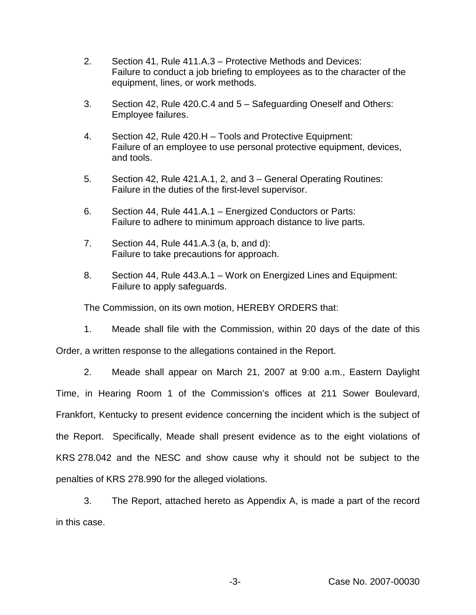- 2. Section 41, Rule 411.A.3 Protective Methods and Devices: Failure to conduct a job briefing to employees as to the character of the equipment, lines, or work methods.
- 3. Section 42, Rule 420.C.4 and 5 Safeguarding Oneself and Others: Employee failures.
- 4. Section 42, Rule 420.H Tools and Protective Equipment: Failure of an employee to use personal protective equipment, devices, and tools.
- 5. Section 42, Rule 421.A.1, 2, and 3 General Operating Routines: Failure in the duties of the first-level supervisor.
- 6. Section 44, Rule 441.A.1 Energized Conductors or Parts: Failure to adhere to minimum approach distance to live parts.
- 7. Section 44, Rule 441.A.3 (a, b, and d): Failure to take precautions for approach.
- 8. Section 44, Rule 443.A.1 Work on Energized Lines and Equipment: Failure to apply safeguards.

The Commission, on its own motion, HEREBY ORDERS that:

1. Meade shall file with the Commission, within 20 days of the date of this

Order, a written response to the allegations contained in the Report.

2. Meade shall appear on March 21, 2007 at 9:00 a.m., Eastern Daylight Time, in Hearing Room 1 of the Commission's offices at 211 Sower Boulevard, Frankfort, Kentucky to present evidence concerning the incident which is the subject of the Report. Specifically, Meade shall present evidence as to the eight violations of KRS 278.042 and the NESC and show cause why it should not be subject to the penalties of KRS 278.990 for the alleged violations.

3. The Report, attached hereto as Appendix A, is made a part of the record in this case.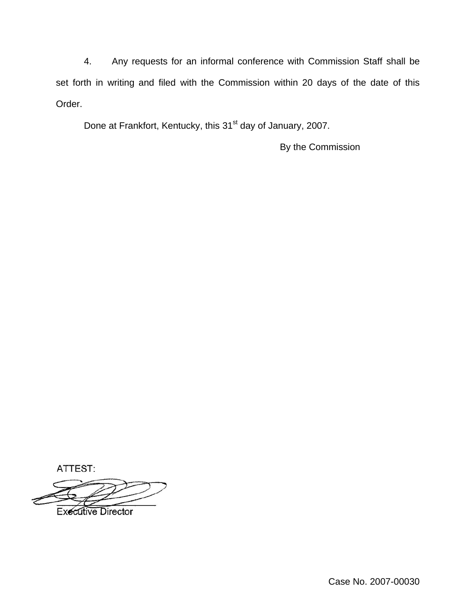4. Any requests for an informal conference with Commission Staff shall be set forth in writing and filed with the Commission within 20 days of the date of this Order.

Done at Frankfort, Kentucky, this 31<sup>st</sup> day of January, 2007.

By the Commission

ATTEST:

**Executive Director** 

Case No. 2007-00030